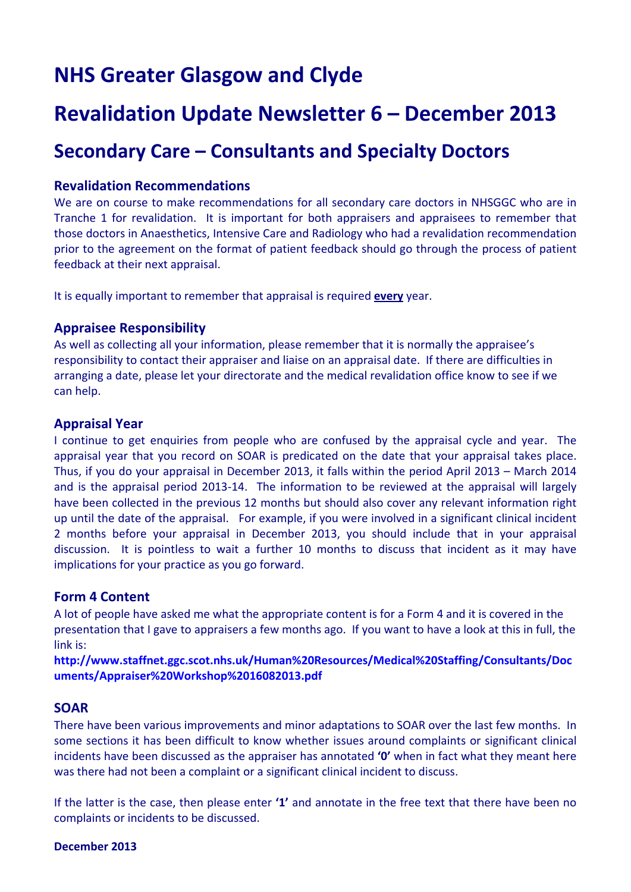# **NHS Greater Glasgow and Clyde**

## **Revalidation Update Newsletter 6 – December 2013**

### **Secondary Care – Consultants and Specialty Doctors**

#### **Revalidation Recommendations**

We are on course to make recommendations for all secondary care doctors in NHSGGC who are in Tranche 1 for revalidation. It is important for both appraisers and appraisees to remember that those doctors in Anaesthetics, Intensive Care and Radiology who had a revalidation recommendation prior to the agreement on the format of patient feedback should go through the process of patient feedback at their next appraisal.

It is equally important to remember that appraisal is required **every** year.

#### **Appraisee Responsibility**

As well as collecting all your information, please remember that it is normally the appraisee's responsibility to contact their appraiser and liaise on an appraisal date. If there are difficulties in arranging a date, please let your directorate and the medical revalidation office know to see if we can help.

#### **Appraisal Year**

I continue to get enquiries from people who are confused by the appraisal cycle and year. The appraisal year that you record on SOAR is predicated on the date that your appraisal takes place. Thus, if you do your appraisal in December 2013, it falls within the period April 2013 – March 2014 and is the appraisal period 2013-14. The information to be reviewed at the appraisal will largely have been collected in the previous 12 months but should also cover any relevant information right up until the date of the appraisal. For example, if you were involved in a significant clinical incident 2 months before your appraisal in December 2013, you should include that in your appraisal discussion. It is pointless to wait a further 10 months to discuss that incident as it may have implications for your practice as you go forward.

#### **Form 4 Content**

A lot of people have asked me what the appropriate content is for a Form 4 and it is covered in the presentation that I gave to appraisers a few months ago. If you want to have a look at this in full, the link is:

**http://www.staffnet.ggc.scot.nhs.uk/Human%20Resources/Medical%20Staffing/Consultants/Doc uments/Appraiser%20Workshop%2016082013.pdf**

#### **SOAR**

There have been various improvements and minor adaptations to SOAR over the last few months. In some sections it has been difficult to know whether issues around complaints or significant clinical incidents have been discussed as the appraiser has annotated **'0'** when in fact what they meant here was there had not been a complaint or a significant clinical incident to discuss.

If the latter is the case, then please enter **'1'** and annotate in the free text that there have been no complaints or incidents to be discussed.

**December 2013**